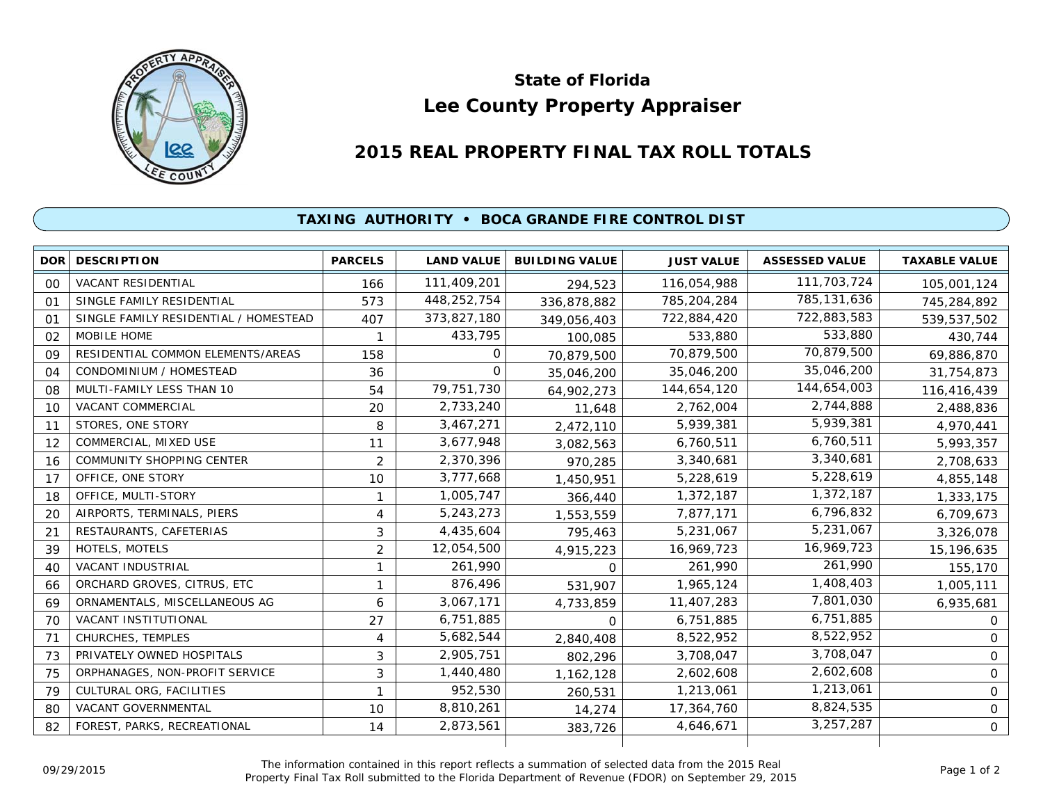

## **Lee County Property Appraiser State of Florida**

## **2015 REAL PROPERTY FINAL TAX ROLL TOTALS**

## **TAXING AUTHORITY • BOCA GRANDE FIRE CONTROL DIST**

|                | <b>DOR DESCRIPTION</b>                | <b>PARCELS</b> | <b>LAND VALUE</b> | <b>BUILDING VALUE</b> | <b>JUST VALUE</b> | <b>ASSESSED VALUE</b> | <b>TAXABLE VALUE</b> |
|----------------|---------------------------------------|----------------|-------------------|-----------------------|-------------------|-----------------------|----------------------|
| 00             | <b>VACANT RESIDENTIAL</b>             | 166            | 111,409,201       | 294,523               | 116,054,988       | 111,703,724           | 105,001,124          |
| O <sub>1</sub> | SINGLE FAMILY RESIDENTIAL             | 573            | 448,252,754       | 336,878,882           | 785,204,284       | 785,131,636           | 745,284,892          |
| $\Omega$ 1     | SINGLE FAMILY RESIDENTIAL / HOMESTEAD | 407            | 373,827,180       | 349,056,403           | 722,884,420       | 722,883,583           | 539,537,502          |
| 02             | MOBILE HOME                           |                | 433,795           | 100,085               | 533,880           | 533,880               | 430,744              |
| 09             | RESIDENTIAL COMMON ELEMENTS/AREAS     | 158            | $\Omega$          | 70,879,500            | 70,879,500        | 70,879,500            | 69,886,870           |
| 04             | CONDOMINIUM / HOMESTEAD               | 36             | $\Omega$          | 35,046,200            | 35,046,200        | 35,046,200            | 31,754,873           |
| 08             | MULTI-FAMILY LESS THAN 10             | 54             | 79,751,730        | 64,902,273            | 144,654,120       | 144,654,003           | 116,416,439          |
| 10             | <b>VACANT COMMERCIAL</b>              | 20             | 2,733,240         | 11,648                | 2,762,004         | 2,744,888             | 2,488,836            |
| 11             | STORES, ONE STORY                     | 8              | 3,467,271         | 2,472,110             | 5,939,381         | 5,939,381             | 4,970,441            |
| 12             | COMMERCIAL, MIXED USE                 | 11             | 3,677,948         | 3,082,563             | 6,760,511         | 6,760,511             | 5,993,357            |
| 16             | <b>COMMUNITY SHOPPING CENTER</b>      | $\overline{2}$ | 2,370,396         | 970,285               | 3,340,681         | 3,340,681             | 2,708,633            |
| 17             | OFFICE, ONE STORY                     | 10             | 3,777,668         | 1,450,951             | 5,228,619         | 5,228,619             | 4,855,148            |
| 18             | OFFICE, MULTI-STORY                   |                | 1,005,747         | 366,440               | 1,372,187         | 1,372,187             | 1,333,175            |
| 20             | AIRPORTS, TERMINALS, PIERS            | 4              | 5,243,273         | 1,553,559             | 7,877,171         | 6,796,832             | 6,709,673            |
| 21             | RESTAURANTS, CAFETERIAS               | 3              | 4,435,604         | 795,463               | 5,231,067         | 5,231,067             | 3,326,078            |
| 39             | HOTELS, MOTELS                        | $\overline{2}$ | 12,054,500        | 4,915,223             | 16,969,723        | 16,969,723            | 15,196,635           |
| 40             | VACANT INDUSTRIAL                     |                | 261,990           | $\Omega$              | 261,990           | 261,990               | 155,170              |
| 66             | ORCHARD GROVES, CITRUS, ETC           | 1              | 876,496           | 531,907               | 1,965,124         | 1,408,403             | 1,005,111            |
| 69             | ORNAMENTALS, MISCELLANEOUS AG         | 6              | 3,067,171         | 4,733,859             | 11,407,283        | 7,801,030             | 6,935,681            |
| 70             | VACANT INSTITUTIONAL                  | 27             | 6,751,885         | 0                     | 6,751,885         | 6,751,885             | 0                    |
| 71             | CHURCHES, TEMPLES                     | 4              | 5,682,544         | 2,840,408             | 8,522,952         | 8,522,952             | 0                    |
| 73             | PRIVATELY OWNED HOSPITALS             | 3              | 2,905,751         | 802,296               | 3,708,047         | 3,708,047             | 0                    |
| 75             | ORPHANAGES, NON-PROFIT SERVICE        | 3              | 1,440,480         | 1,162,128             | 2,602,608         | 2,602,608             | 0                    |
| 79             | CULTURAL ORG, FACILITIES              |                | 952,530           | 260,531               | 1,213,061         | 1,213,061             | 0                    |
| 80             | VACANT GOVERNMENTAL                   | 10             | 8,810,261         | 14,274                | 17,364,760        | 8,824,535             | 0                    |
| 82             | FOREST, PARKS, RECREATIONAL           | 14             | 2,873,561         | 383,726               | 4,646,671         | 3,257,287             | 0                    |
|                |                                       |                |                   |                       |                   |                       |                      |

The information contained in this report reflects a summation of selected data from the 2015 Real Ine information contained in this report reflects a summation of selected data from the 2015 Real<br>Property Final Tax Roll submitted to the Florida Department of Revenue (FDOR) on September 29, 2015